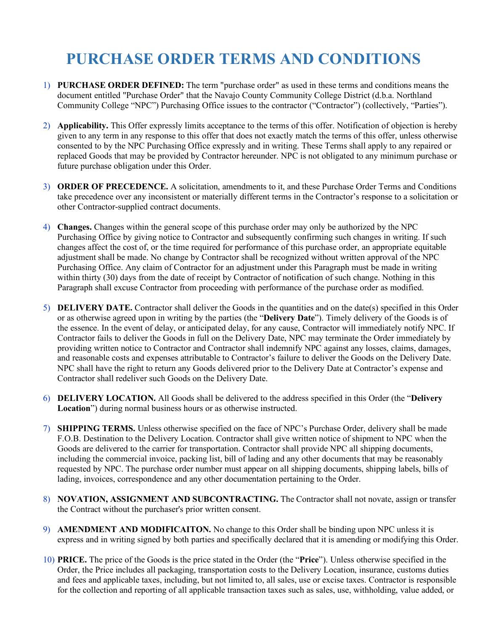## **PURCHASE ORDER TERMS AND CONDITIONS**

- 1) **PURCHASE ORDER DEFINED:** The term "purchase order" as used in these terms and conditions means the document entitled "Purchase Order" that the Navajo County Community College District (d.b.a. Northland Community College "NPC") Purchasing Office issues to the contractor ("Contractor") (collectively, "Parties").
- 2) **Applicability.** This Offer expressly limits acceptance to the terms of this offer. Notification of objection is hereby given to any term in any response to this offer that does not exactly match the terms of this offer, unless otherwise consented to by the NPC Purchasing Office expressly and in writing. These Terms shall apply to any repaired or replaced Goods that may be provided by Contractor hereunder. NPC is not obligated to any minimum purchase or future purchase obligation under this Order.
- 3) **ORDER OF PRECEDENCE.** A solicitation, amendments to it, and these Purchase Order Terms and Conditions take precedence over any inconsistent or materially different terms in the Contractor's response to a solicitation or other Contractor-supplied contract documents.
- 4) **Changes.** Changes within the general scope of this purchase order may only be authorized by the NPC Purchasing Office by giving notice to Contractor and subsequently confirming such changes in writing. If such changes affect the cost of, or the time required for performance of this purchase order, an appropriate equitable adjustment shall be made. No change by Contractor shall be recognized without written approval of the NPC Purchasing Office. Any claim of Contractor for an adjustment under this Paragraph must be made in writing within thirty (30) days from the date of receipt by Contractor of notification of such change. Nothing in this Paragraph shall excuse Contractor from proceeding with performance of the purchase order as modified.
- 5) **DELIVERY DATE.** Contractor shall deliver the Goods in the quantities and on the date(s) specified in this Order or as otherwise agreed upon in writing by the parties (the "**Delivery Date**"). Timely delivery of the Goods is of the essence. In the event of delay, or anticipated delay, for any cause, Contractor will immediately notify NPC. If Contractor fails to deliver the Goods in full on the Delivery Date, NPC may terminate the Order immediately by providing written notice to Contractor and Contractor shall indemnify NPC against any losses, claims, damages, and reasonable costs and expenses attributable to Contractor's failure to deliver the Goods on the Delivery Date. NPC shall have the right to return any Goods delivered prior to the Delivery Date at Contractor's expense and Contractor shall redeliver such Goods on the Delivery Date.
- 6) **DELIVERY LOCATION.** All Goods shall be delivered to the address specified in this Order (the "**Delivery Location**") during normal business hours or as otherwise instructed.
- 7) **SHIPPING TERMS.** Unless otherwise specified on the face of NPC's Purchase Order, delivery shall be made F.O.B. Destination to the Delivery Location. Contractor shall give written notice of shipment to NPC when the Goods are delivered to the carrier for transportation. Contractor shall provide NPC all shipping documents, including the commercial invoice, packing list, bill of lading and any other documents that may be reasonably requested by NPC. The purchase order number must appear on all shipping documents, shipping labels, bills of lading, invoices, correspondence and any other documentation pertaining to the Order.
- 8) **NOVATION, ASSIGNMENT AND SUBCONTRACTING.** The Contractor shall not novate, assign or transfer the Contract without the purchaser's prior written consent.
- 9) **AMENDMENT AND MODIFICAITON.** No change to this Order shall be binding upon NPC unless it is express and in writing signed by both parties and specifically declared that it is amending or modifying this Order.
- 10) **PRICE.** The price of the Goods is the price stated in the Order (the "**Price**"). Unless otherwise specified in the Order, the Price includes all packaging, transportation costs to the Delivery Location, insurance, customs duties and fees and applicable taxes, including, but not limited to, all sales, use or excise taxes. Contractor is responsible for the collection and reporting of all applicable transaction taxes such as sales, use, withholding, value added, or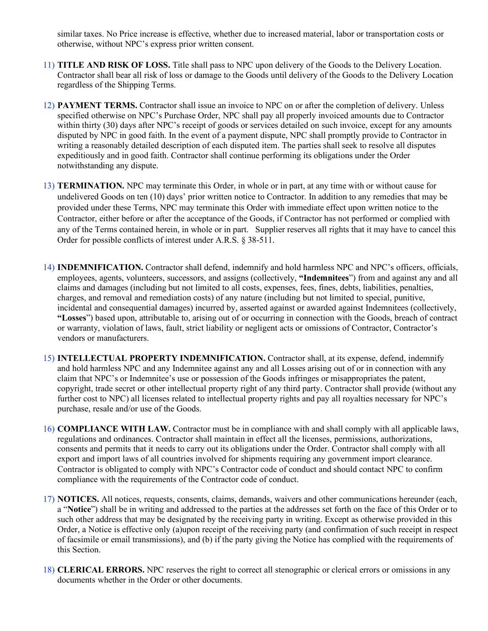similar taxes. No Price increase is effective, whether due to increased material, labor or transportation costs or otherwise, without NPC's express prior written consent.

- 11) **TITLE AND RISK OF LOSS.** Title shall pass to NPC upon delivery of the Goods to the Delivery Location. Contractor shall bear all risk of loss or damage to the Goods until delivery of the Goods to the Delivery Location regardless of the Shipping Terms.
- 12) **PAYMENT TERMS.** Contractor shall issue an invoice to NPC on or after the completion of delivery. Unless specified otherwise on NPC's Purchase Order, NPC shall pay all properly invoiced amounts due to Contractor within thirty (30) days after NPC's receipt of goods or services detailed on such invoice, except for any amounts disputed by NPC in good faith. In the event of a payment dispute, NPC shall promptly provide to Contractor in writing a reasonably detailed description of each disputed item. The parties shall seek to resolve all disputes expeditiously and in good faith. Contractor shall continue performing its obligations under the Order notwithstanding any dispute.
- 13) **TERMINATION.** NPC may terminate this Order, in whole or in part, at any time with or without cause for undelivered Goods on ten (10) days' prior written notice to Contractor. In addition to any remedies that may be provided under these Terms, NPC may terminate this Order with immediate effect upon written notice to the Contractor, either before or after the acceptance of the Goods, if Contractor has not performed or complied with any of the Terms contained herein, in whole or in part. Supplier reserves all rights that it may have to cancel this Order for possible conflicts of interest under A.R.S. § 38-511.
- 14) **INDEMNIFICATION.** Contractor shall defend, indemnify and hold harmless NPC and NPC's officers, officials, employees, agents, volunteers, successors, and assigns (collectively, **"Indemnitees**") from and against any and all claims and damages (including but not limited to all costs, expenses, fees, fines, debts, liabilities, penalties, charges, and removal and remediation costs) of any nature (including but not limited to special, punitive, incidental and consequential damages) incurred by, asserted against or awarded against Indemnitees (collectively, **"Losses**") based upon, attributable to, arising out of or occurring in connection with the Goods, breach of contract or warranty, violation of laws, fault, strict liability or negligent acts or omissions of Contractor, Contractor's vendors or manufacturers.
- 15) **INTELLECTUAL PROPERTY INDEMNIFICATION.** Contractor shall, at its expense, defend, indemnify and hold harmless NPC and any Indemnitee against any and all Losses arising out of or in connection with any claim that NPC's or Indemnitee's use or possession of the Goods infringes or misappropriates the patent, copyright, trade secret or other intellectual property right of any third party. Contractor shall provide (without any further cost to NPC) all licenses related to intellectual property rights and pay all royalties necessary for NPC's purchase, resale and/or use of the Goods.
- 16) **COMPLIANCE WITH LAW.** Contractor must be in compliance with and shall comply with all applicable laws, regulations and ordinances. Contractor shall maintain in effect all the licenses, permissions, authorizations, consents and permits that it needs to carry out its obligations under the Order. Contractor shall comply with all export and import laws of all countries involved for shipments requiring any government import clearance. Contractor is obligated to comply with NPC's Contractor code of conduct and should contact NPC to confirm compliance with the requirements of the Contractor code of conduct.
- 17) **NOTICES.** All notices, requests, consents, claims, demands, waivers and other communications hereunder (each, a "**Notice**") shall be in writing and addressed to the parties at the addresses set forth on the face of this Order or to such other address that may be designated by the receiving party in writing. Except as otherwise provided in this Order, a Notice is effective only (a)upon receipt of the receiving party (and confirmation of such receipt in respect of facsimile or email transmissions), and (b) if the party giving the Notice has complied with the requirements of this Section.
- 18) **CLERICAL ERRORS.** NPC reserves the right to correct all stenographic or clerical errors or omissions in any documents whether in the Order or other documents.